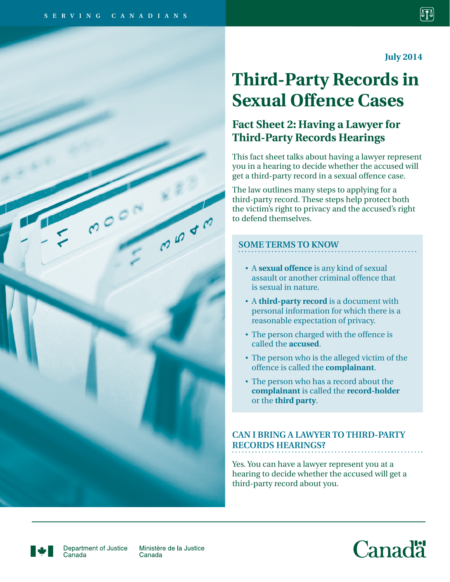$00$ 

**July 2014**

# **Third-Party Records in Sexual Offence Cases**

# **Fact Sheet 2: Having a Lawyer for Third-Party Records Hearings**

This fact sheet talks about having a lawyer represent you in a hearing to decide whether the accused will get a third-party record in a sexual offence case.

The law outlines many steps to applying for a third-party record. These steps help protect both the victim's right to privacy and the accused's right to defend themselves.

## **SOME TERMS TO KNOW**

- A **sexual offence** is any kind of sexual assault or another criminal offence that is sexual in nature.
- A **third-party record** is a document with personal information for which there is a reasonable expectation of privacy.
- The person charged with the offence is called the **accused**.
- The person who is the alleged victim of the offence is called the **complainant**.
- The person who has a record about the **complainant** is called the **record-holder** or the **third party**.

# **CAN I BRING A LAWYER TO THIRD-PARTY RECORDS HEARINGS?**

Yes. You can have a lawyer represent you at a hearing to decide whether the accused will get a third-party record about you.



Department of Justice Canada

Ministère de la Justice Canada

**CO 40**